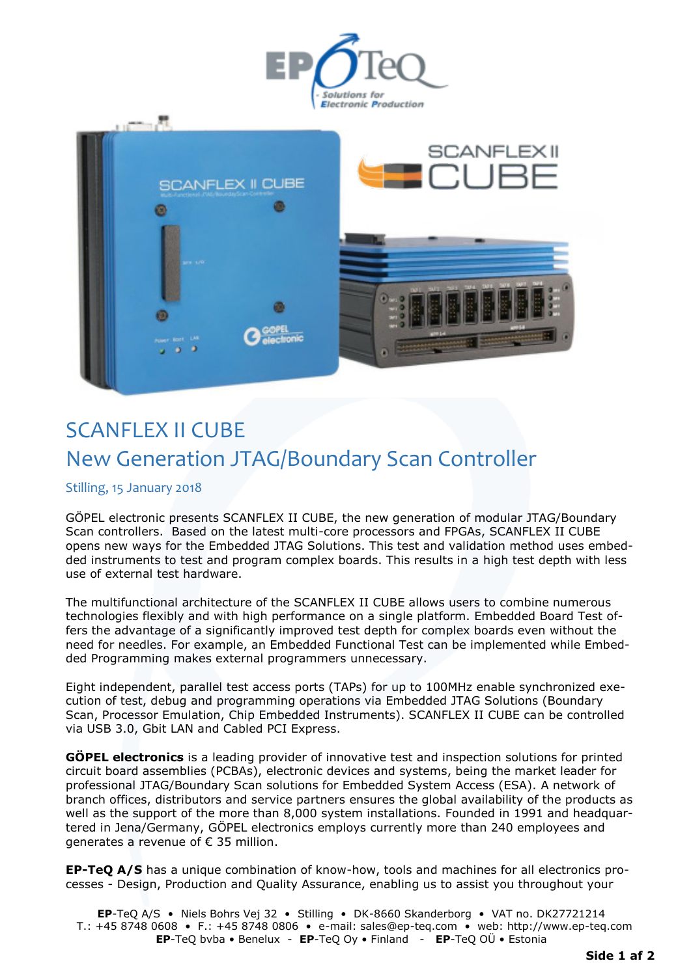



## SCANFLEX II CUBE New Generation JTAG/Boundary Scan Controller

## Stilling, 15 January 2018

GÖPEL electronic presents SCANFLEX II CUBE, the new generation of modular JTAG/Boundary Scan controllers. Based on the latest multi-core processors and FPGAs, SCANFLEX II CUBE opens new ways for the Embedded JTAG Solutions. This test and validation method uses embedded instruments to test and program complex boards. This results in a high test depth with less use of external test hardware.

The multifunctional architecture of the SCANFLEX II CUBE allows users to combine numerous technologies flexibly and with high performance on a single platform. Embedded Board Test offers the advantage of a significantly improved test depth for complex boards even without the need for needles. For example, an Embedded Functional Test can be implemented while Embedded Programming makes external programmers unnecessary.

Eight independent, parallel test access ports (TAPs) for up to 100MHz enable synchronized execution of test, debug and programming operations via Embedded JTAG Solutions (Boundary Scan, Processor Emulation, Chip Embedded Instruments). SCANFLEX II CUBE can be controlled via USB 3.0, Gbit LAN and Cabled PCI Express.

**GÖPEL electronics** is a leading provider of innovative test and inspection solutions for printed circuit board assemblies (PCBAs), electronic devices and systems, being the market leader for professional JTAG/Boundary Scan solutions for Embedded System Access (ESA). A network of branch offices, distributors and service partners ensures the global availability of the products as well as the support of the more than 8,000 system installations. Founded in 1991 and headquartered in Jena/Germany, GÖPEL electronics employs currently more than 240 employees and generates a revenue of € 35 million.

**EP-TeQ A/S** has a unique combination of know-how, tools and machines for all electronics processes - Design, Production and Quality Assurance, enabling us to assist you throughout your

**EP**-TeQ A/S • Niels Bohrs Vej 32 • Stilling • DK-8660 Skanderborg • VAT no. DK27721214 T.: +45 8748 0608 • F.: +45 8748 0806 • e-mail: sales@ep-teq.com • web: [http://www.ep-teq.com](http://www.ep-teq.com/)  **EP**-TeQ bvba • Benelux - **EP**-TeQ Oy • Finland - **EP**-TeQ OÜ • Estonia